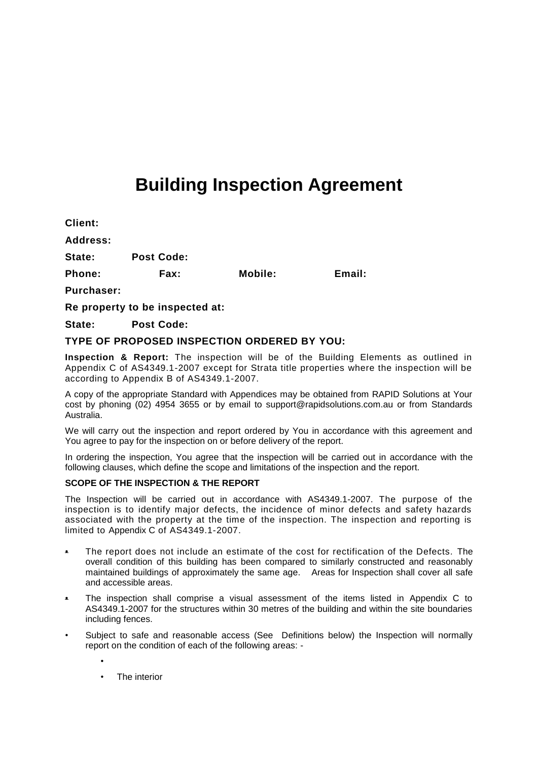# **Building Inspection Agreement**

| Client:           |                   |         |        |
|-------------------|-------------------|---------|--------|
| <b>Address:</b>   |                   |         |        |
| State:            | <b>Post Code:</b> |         |        |
| Phone:            | <b>Fax:</b>       | Mobile: | Email: |
| <b>Purchaser:</b> |                   |         |        |

**Re property to be inspected at:** 

**State: Post Code:** 

# **TYPE OF PROPOSED INSPECTION ORDERED BY YOU:**

**Inspection & Report:** The inspection will be of the Building Elements as outlined in Appendix C of AS4349.1-2007 except for Strata title properties where the inspection will be according to Appendix B of AS4349.1-2007.

A copy of the appropriate Standard with Appendices may be obtained from RAPID Solutions at Your cost by phoning (02) 4954 3655 or by email to support@rapidsolutions.com.au or from Standards Australia.

We will carry out the inspection and report ordered by You in accordance with this agreement and You agree to pay for the inspection on or before delivery of the report.

In ordering the inspection, You agree that the inspection will be carried out in accordance with the following clauses, which define the scope and limitations of the inspection and the report.

# **SCOPE OF THE INSPECTION & THE REPORT**

The Inspection will be carried out in accordance with AS4349.1-2007. The purpose of the inspection is to identify major defects, the incidence of minor defects and safety hazards associated with the property at the time of the inspection. The inspection and reporting is limited to Appendix C of AS4349.1-2007.

- The report does not include an estimate of the cost for rectification of the Defects. The overall condition of this building has been compared to similarly constructed and reasonably maintained buildings of approximately the same age. Areas for Inspection shall cover all safe and accessible areas.
- The inspection shall comprise a visual assessment of the items listed in Appendix C to AS4349.1-2007 for the structures within 30 metres of the building and within the site boundaries including fences.
- Subject to safe and reasonable access (See Definitions below) the Inspection will normally report on the condition of each of the following areas: -

The interior

•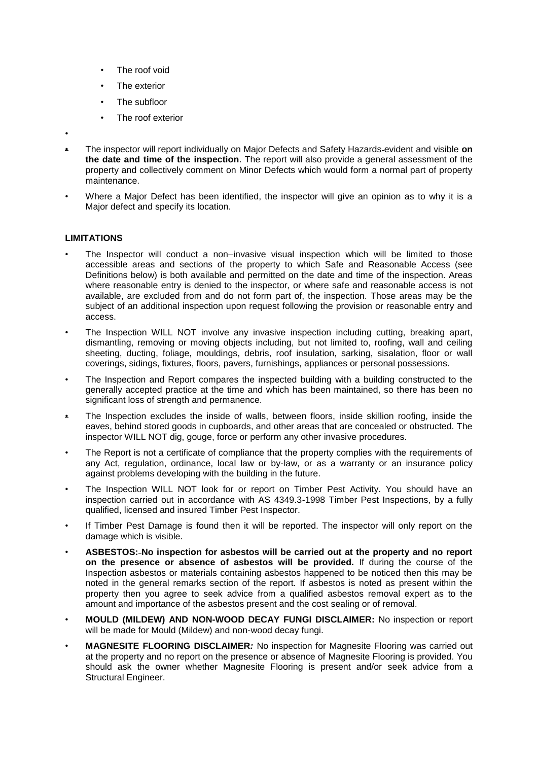- The roof void
- The exterior
- The subfloor
- The roof exterior
- •
- The inspector will report individually on Major Defects and Safety Hazards evident and visible **on the date and time of the inspection**. The report will also provide a general assessment of the property and collectively comment on Minor Defects which would form a normal part of property maintenance.
- Where a Major Defect has been identified, the inspector will give an opinion as to why it is a Major defect and specify its location.

### **LIMITATIONS**

- The Inspector will conduct a non–invasive visual inspection which will be limited to those accessible areas and sections of the property to which Safe and Reasonable Access (see Definitions below) is both available and permitted on the date and time of the inspection. Areas where reasonable entry is denied to the inspector, or where safe and reasonable access is not available, are excluded from and do not form part of, the inspection. Those areas may be the subject of an additional inspection upon request following the provision or reasonable entry and access.
- The Inspection WILL NOT involve any invasive inspection including cutting, breaking apart, dismantling, removing or moving objects including, but not limited to, roofing, wall and ceiling sheeting, ducting, foliage, mouldings, debris, roof insulation, sarking, sisalation, floor or wall coverings, sidings, fixtures, floors, pavers, furnishings, appliances or personal possessions.
- The Inspection and Report compares the inspected building with a building constructed to the generally accepted practice at the time and which has been maintained, so there has been no significant loss of strength and permanence.
- The Inspection excludes the inside of walls, between floors, inside skillion roofing, inside the eaves, behind stored goods in cupboards, and other areas that are concealed or obstructed. The inspector WILL NOT dig, gouge, force or perform any other invasive procedures.
- The Report is not a certificate of compliance that the property complies with the requirements of any Act, regulation, ordinance, local law or by-law, or as a warranty or an insurance policy against problems developing with the building in the future.
- The Inspection WILL NOT look for or report on Timber Pest Activity. You should have an inspection carried out in accordance with AS 4349.3-1998 Timber Pest Inspections, by a fully qualified, licensed and insured Timber Pest Inspector.
- If Timber Pest Damage is found then it will be reported. The inspector will only report on the damage which is visible.
- **ASBESTOS: No inspection for asbestos will be carried out at the property and no report on the presence or absence of asbestos will be provided.** If during the course of the Inspection asbestos or materials containing asbestos happened to be noticed then this may be noted in the general remarks section of the report. If asbestos is noted as present within the property then you agree to seek advice from a qualified asbestos removal expert as to the amount and importance of the asbestos present and the cost sealing or of removal.
- **MOULD (MILDEW) AND NON-WOOD DECAY FUNGI DISCLAIMER:** No inspection or report will be made for Mould (Mildew) and non-wood decay fungi.
- **MAGNESITE FLOORING DISCLAIMER***:* No inspection for Magnesite Flooring was carried out at the property and no report on the presence or absence of Magnesite Flooring is provided. You should ask the owner whether Magnesite Flooring is present and/or seek advice from a Structural Engineer.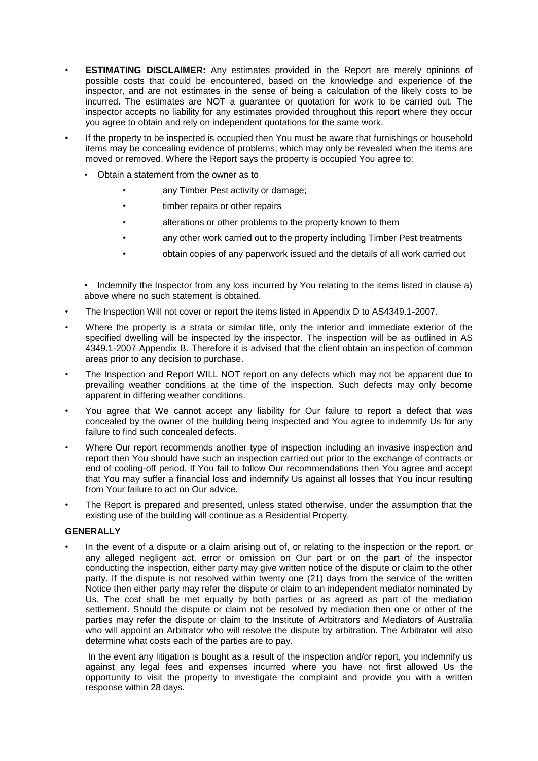- **ESTIMATING DISCLAIMER:** Any estimates provided in the Report are merely opinions of possible costs that could be encountered, based on the knowledge and experience of the inspector, and are not estimates in the sense of being a calculation of the likely costs to be incurred. The estimates are NOT a guarantee or quotation for work to be carried out. The inspector accepts no liability for any estimates provided throughout this report where they occur you agree to obtain and rely on independent quotations for the same work.
- If the property to be inspected is occupied then You must be aware that furnishings or household items may be concealing evidence of problems, which may only be revealed when the items are moved or removed. Where the Report says the property is occupied You agree to:
	- Obtain a statement from the owner as to
		- any Timber Pest activity or damage;
		- timber repairs or other repairs
		- alterations or other problems to the property known to them
		- any other work carried out to the property including Timber Pest treatments
		- obtain copies of any paperwork issued and the details of all work carried out
	- Indemnify the Inspector from any loss incurred by You relating to the items listed in clause a) above where no such statement is obtained.
- The Inspection Will not cover or report the items listed in Appendix D to AS4349.1-2007.
- Where the property is a strata or similar title, only the interior and immediate exterior of the specified dwelling will be inspected by the inspector. The inspection will be as outlined in AS 4349.1-2007 Appendix B. Therefore it is advised that the client obtain an inspection of common areas prior to any decision to purchase.
- The Inspection and Report WILL NOT report on any defects which may not be apparent due to prevailing weather conditions at the time of the inspection. Such defects may only become apparent in differing weather conditions.
- You agree that We cannot accept any liability for Our failure to report a defect that was concealed by the owner of the building being inspected and You agree to indemnify Us for any failure to find such concealed defects.
- Where Our report recommends another type of inspection including an invasive inspection and report then You should have such an inspection carried out prior to the exchange of contracts or end of cooling-off period. If You fail to follow Our recommendations then You agree and accept that You may suffer a financial loss and indemnify Us against all losses that You incur resulting from Your failure to act on Our advice.
- The Report is prepared and presented, unless stated otherwise, under the assumption that the existing use of the building will continue as a Residential Property.

### **GENERALLY**

• In the event of a dispute or a claim arising out of, or relating to the inspection or the report, or any alleged negligent act, error or omission on Our part or on the part of the inspector conducting the inspection, either party may give written notice of the dispute or claim to the other party. If the dispute is not resolved within twenty one (21) days from the service of the written Notice then either party may refer the dispute or claim to an independent mediator nominated by Us. The cost shall be met equally by both parties or as agreed as part of the mediation settlement. Should the dispute or claim not be resolved by mediation then one or other of the parties may refer the dispute or claim to the Institute of Arbitrators and Mediators of Australia who will appoint an Arbitrator who will resolve the dispute by arbitration. The Arbitrator will also determine what costs each of the parties are to pay.

In the event any litigation is bought as a result of the inspection and/or report, you indemnify us against any legal fees and expenses incurred where you have not first allowed Us the opportunity to visit the property to investigate the complaint and provide you with a written response within 28 days.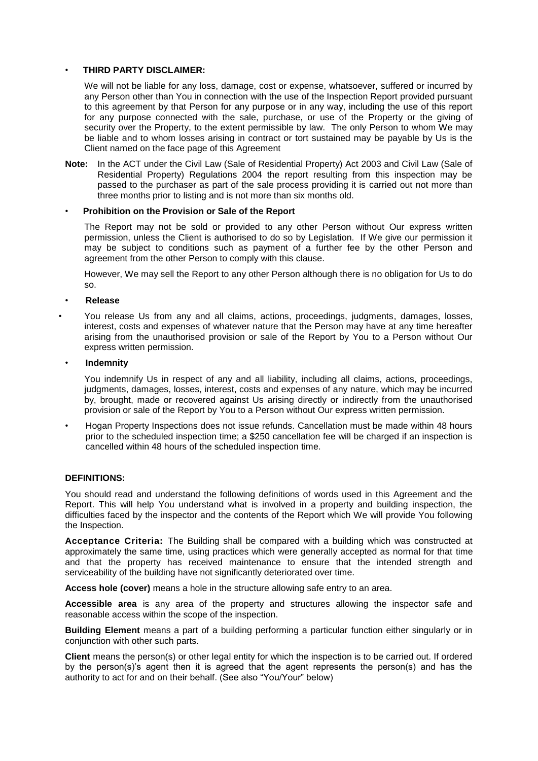## • **THIRD PARTY DISCLAIMER:**

We will not be liable for any loss, damage, cost or expense, whatsoever, suffered or incurred by any Person other than You in connection with the use of the Inspection Report provided pursuant to this agreement by that Person for any purpose or in any way, including the use of this report for any purpose connected with the sale, purchase, or use of the Property or the giving of security over the Property, to the extent permissible by law. The only Person to whom We may be liable and to whom losses arising in contract or tort sustained may be payable by Us is the Client named on the face page of this Agreement

**Note:** In the ACT under the Civil Law (Sale of Residential Property) Act 2003 and Civil Law (Sale of Residential Property) Regulations 2004 the report resulting from this inspection may be passed to the purchaser as part of the sale process providing it is carried out not more than three months prior to listing and is not more than six months old.

#### • **Prohibition on the Provision or Sale of the Report**

The Report may not be sold or provided to any other Person without Our express written permission, unless the Client is authorised to do so by Legislation. If We give our permission it may be subject to conditions such as payment of a further fee by the other Person and agreement from the other Person to comply with this clause.

However, We may sell the Report to any other Person although there is no obligation for Us to do so.

• **Release**

- You release Us from any and all claims, actions, proceedings, judgments, damages, losses, interest, costs and expenses of whatever nature that the Person may have at any time hereafter arising from the unauthorised provision or sale of the Report by You to a Person without Our express written permission.
- **Indemnity**
	- You indemnify Us in respect of any and all liability, including all claims, actions, proceedings, judgments, damages, losses, interest, costs and expenses of any nature, which may be incurred by, brought, made or recovered against Us arising directly or indirectly from the unauthorised provision or sale of the Report by You to a Person without Our express written permission.
- Hogan Property Inspections does not issue refunds. Cancellation must be made within 48 hours prior to the scheduled inspection time; a \$250 cancellation fee will be charged if an inspection is cancelled within 48 hours of the scheduled inspection time.

#### **DEFINITIONS:**

You should read and understand the following definitions of words used in this Agreement and the Report. This will help You understand what is involved in a property and building inspection, the difficulties faced by the inspector and the contents of the Report which We will provide You following the Inspection.

**Acceptance Criteria:** The Building shall be compared with a building which was constructed at approximately the same time, using practices which were generally accepted as normal for that time and that the property has received maintenance to ensure that the intended strength and serviceability of the building have not significantly deteriorated over time.

**Access hole (cover)** means a hole in the structure allowing safe entry to an area.

**Accessible area** is any area of the property and structures allowing the inspector safe and reasonable access within the scope of the inspection.

**Building Element** means a part of a building performing a particular function either singularly or in conjunction with other such parts.

**Client** means the person(s) or other legal entity for which the inspection is to be carried out. If ordered by the person(s)'s agent then it is agreed that the agent represents the person(s) and has the authority to act for and on their behalf. (See also "You/Your" below)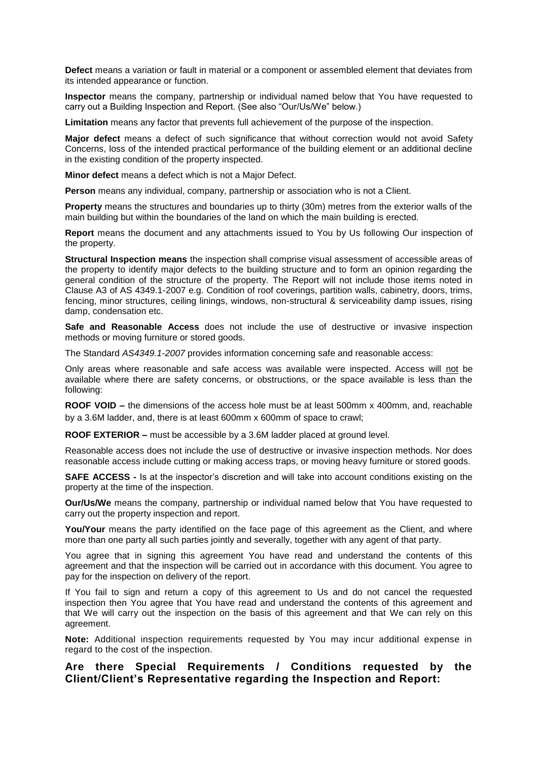**Defect** means a variation or fault in material or a component or assembled element that deviates from its intended appearance or function.

**Inspector** means the company, partnership or individual named below that You have requested to carry out a Building Inspection and Report. (See also "Our/Us/We" below.)

**Limitation** means any factor that prevents full achievement of the purpose of the inspection.

**Major defect** means a defect of such significance that without correction would not avoid Safety Concerns, loss of the intended practical performance of the building element or an additional decline in the existing condition of the property inspected.

**Minor defect** means a defect which is not a Major Defect.

**Person** means any individual, company, partnership or association who is not a Client*.*

**Property** means the structures and boundaries up to thirty (30m) metres from the exterior walls of the main building but within the boundaries of the land on which the main building is erected.

**Report** means the document and any attachments issued to You by Us following Our inspection of the property.

**Structural Inspection means** the inspection shall comprise visual assessment of accessible areas of the property to identify major defects to the building structure and to form an opinion regarding the general condition of the structure of the property. The Report will not include those items noted in Clause A3 of AS 4349.1-2007 e.g. Condition of roof coverings, partition walls, cabinetry, doors, trims, fencing, minor structures, ceiling linings, windows, non-structural & serviceability damp issues, rising damp, condensation etc.

**Safe and Reasonable Access** does not include the use of destructive or invasive inspection methods or moving furniture or stored goods.

The Standard *AS4349.1-2007* provides information concerning safe and reasonable access:

Only areas where reasonable and safe access was available were inspected. Access will not be available where there are safety concerns, or obstructions, or the space available is less than the following:

**ROOF VOID –** the dimensions of the access hole must be at least 500mm x 400mm, and, reachable by a 3.6M ladder, and, there is at least 600mm x 600mm of space to crawl;

**ROOF EXTERIOR –** must be accessible by a 3.6M ladder placed at ground level.

Reasonable access does not include the use of destructive or invasive inspection methods. Nor does reasonable access include cutting or making access traps, or moving heavy furniture or stored goods.

**SAFE ACCESS -** Is at the inspector's discretion and will take into account conditions existing on the property at the time of the inspection.

**Our/Us/We** means the company, partnership or individual named below that You have requested to carry out the property inspection and report.

**You/Your** means the party identified on the face page of this agreement as the Client, and where more than one party all such parties jointly and severally, together with any agent of that party.

You agree that in signing this agreement You have read and understand the contents of this agreement and that the inspection will be carried out in accordance with this document. You agree to pay for the inspection on delivery of the report.

If You fail to sign and return a copy of this agreement to Us and do not cancel the requested inspection then You agree that You have read and understand the contents of this agreement and that We will carry out the inspection on the basis of this agreement and that We can rely on this agreement.

**Note:** Additional inspection requirements requested by You may incur additional expense in regard to the cost of the inspection.

# **Are there Special Requirements / Conditions requested by the Client/Client's Representative regarding the Inspection and Report:**